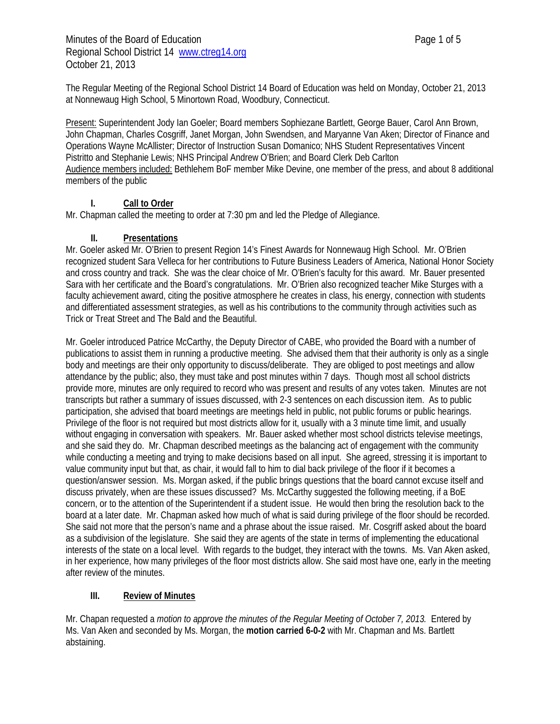Minutes of the Board of Education **Page 1** of 5 Regional School District 14 www.ctreg14.org October 21, 2013

The Regular Meeting of the Regional School District 14 Board of Education was held on Monday, October 21, 2013 at Nonnewaug High School, 5 Minortown Road, Woodbury, Connecticut.

Present: Superintendent Jody Ian Goeler; Board members Sophiezane Bartlett, George Bauer, Carol Ann Brown, John Chapman, Charles Cosgriff, Janet Morgan, John Swendsen, and Maryanne Van Aken; Director of Finance and Operations Wayne McAllister; Director of Instruction Susan Domanico; NHS Student Representatives Vincent Pistritto and Stephanie Lewis; NHS Principal Andrew O'Brien; and Board Clerk Deb Carlton Audience members included: Bethlehem BoF member Mike Devine, one member of the press, and about 8 additional members of the public

# **I. Call to Order**

Mr. Chapman called the meeting to order at 7:30 pm and led the Pledge of Allegiance.

## **II. Presentations**

Mr. Goeler asked Mr. O'Brien to present Region 14's Finest Awards for Nonnewaug High School. Mr. O'Brien recognized student Sara Velleca for her contributions to Future Business Leaders of America, National Honor Society and cross country and track. She was the clear choice of Mr. O'Brien's faculty for this award. Mr. Bauer presented Sara with her certificate and the Board's congratulations. Mr. O'Brien also recognized teacher Mike Sturges with a faculty achievement award, citing the positive atmosphere he creates in class, his energy, connection with students and differentiated assessment strategies, as well as his contributions to the community through activities such as Trick or Treat Street and The Bald and the Beautiful.

Mr. Goeler introduced Patrice McCarthy, the Deputy Director of CABE, who provided the Board with a number of publications to assist them in running a productive meeting. She advised them that their authority is only as a single body and meetings are their only opportunity to discuss/deliberate. They are obliged to post meetings and allow attendance by the public; also, they must take and post minutes within 7 days. Though most all school districts provide more, minutes are only required to record who was present and results of any votes taken. Minutes are not transcripts but rather a summary of issues discussed, with 2-3 sentences on each discussion item. As to public participation, she advised that board meetings are meetings held in public, not public forums or public hearings. Privilege of the floor is not required but most districts allow for it, usually with a 3 minute time limit, and usually without engaging in conversation with speakers. Mr. Bauer asked whether most school districts televise meetings, and she said they do. Mr. Chapman described meetings as the balancing act of engagement with the community while conducting a meeting and trying to make decisions based on all input. She agreed, stressing it is important to value community input but that, as chair, it would fall to him to dial back privilege of the floor if it becomes a question/answer session. Ms. Morgan asked, if the public brings questions that the board cannot excuse itself and discuss privately, when are these issues discussed? Ms. McCarthy suggested the following meeting, if a BoE concern, or to the attention of the Superintendent if a student issue. He would then bring the resolution back to the board at a later date. Mr. Chapman asked how much of what is said during privilege of the floor should be recorded. She said not more that the person's name and a phrase about the issue raised. Mr. Cosgriff asked about the board as a subdivision of the legislature. She said they are agents of the state in terms of implementing the educational interests of the state on a local level. With regards to the budget, they interact with the towns. Ms. Van Aken asked, in her experience, how many privileges of the floor most districts allow. She said most have one, early in the meeting after review of the minutes.

# **III. Review of Minutes**

Mr. Chapan requested a *motion to approve the minutes of the Regular Meeting of October 7, 2013.* Entered by Ms. Van Aken and seconded by Ms. Morgan, the **motion carried 6-0-2** with Mr. Chapman and Ms. Bartlett abstaining.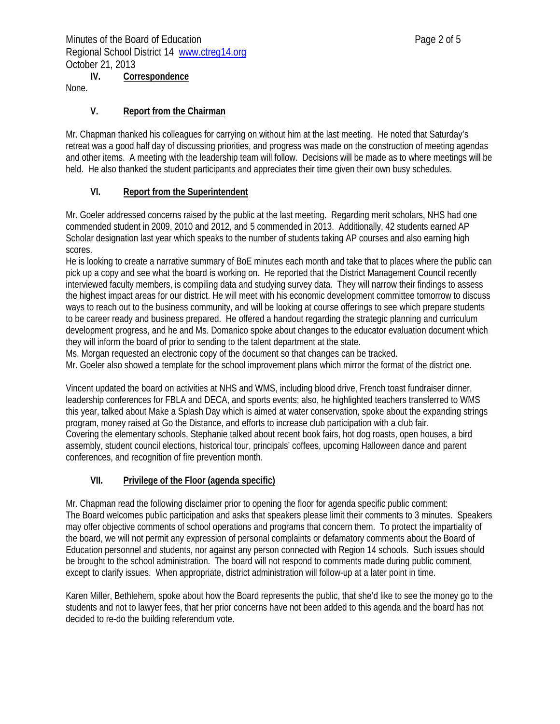**IV. Correspondence** 

None.

### **V. Report from the Chairman**

Mr. Chapman thanked his colleagues for carrying on without him at the last meeting. He noted that Saturday's retreat was a good half day of discussing priorities, and progress was made on the construction of meeting agendas and other items. A meeting with the leadership team will follow. Decisions will be made as to where meetings will be held. He also thanked the student participants and appreciates their time given their own busy schedules.

### **VI. Report from the Superintendent**

Mr. Goeler addressed concerns raised by the public at the last meeting. Regarding merit scholars, NHS had one commended student in 2009, 2010 and 2012, and 5 commended in 2013. Additionally, 42 students earned AP Scholar designation last year which speaks to the number of students taking AP courses and also earning high scores.

He is looking to create a narrative summary of BoE minutes each month and take that to places where the public can pick up a copy and see what the board is working on. He reported that the District Management Council recently interviewed faculty members, is compiling data and studying survey data. They will narrow their findings to assess the highest impact areas for our district. He will meet with his economic development committee tomorrow to discuss ways to reach out to the business community, and will be looking at course offerings to see which prepare students to be career ready and business prepared. He offered a handout regarding the strategic planning and curriculum development progress, and he and Ms. Domanico spoke about changes to the educator evaluation document which they will inform the board of prior to sending to the talent department at the state.

Ms. Morgan requested an electronic copy of the document so that changes can be tracked.

Mr. Goeler also showed a template for the school improvement plans which mirror the format of the district one.

Vincent updated the board on activities at NHS and WMS, including blood drive, French toast fundraiser dinner, leadership conferences for FBLA and DECA, and sports events; also, he highlighted teachers transferred to WMS this year, talked about Make a Splash Day which is aimed at water conservation, spoke about the expanding strings program, money raised at Go the Distance, and efforts to increase club participation with a club fair. Covering the elementary schools, Stephanie talked about recent book fairs, hot dog roasts, open houses, a bird assembly, student council elections, historical tour, principals' coffees, upcoming Halloween dance and parent conferences, and recognition of fire prevention month.

### **VII. Privilege of the Floor (agenda specific)**

Mr. Chapman read the following disclaimer prior to opening the floor for agenda specific public comment: The Board welcomes public participation and asks that speakers please limit their comments to 3 minutes. Speakers may offer objective comments of school operations and programs that concern them. To protect the impartiality of the board, we will not permit any expression of personal complaints or defamatory comments about the Board of Education personnel and students, nor against any person connected with Region 14 schools. Such issues should be brought to the school administration. The board will not respond to comments made during public comment, except to clarify issues. When appropriate, district administration will follow-up at a later point in time.

Karen Miller, Bethlehem, spoke about how the Board represents the public, that she'd like to see the money go to the students and not to lawyer fees, that her prior concerns have not been added to this agenda and the board has not decided to re-do the building referendum vote.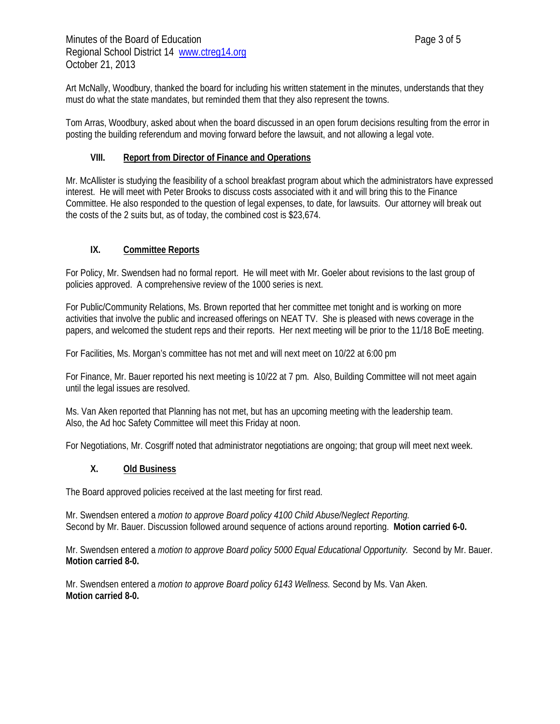Art McNally, Woodbury, thanked the board for including his written statement in the minutes, understands that they must do what the state mandates, but reminded them that they also represent the towns.

Tom Arras, Woodbury, asked about when the board discussed in an open forum decisions resulting from the error in posting the building referendum and moving forward before the lawsuit, and not allowing a legal vote.

#### **VIII. Report from Director of Finance and Operations**

Mr. McAllister is studying the feasibility of a school breakfast program about which the administrators have expressed interest. He will meet with Peter Brooks to discuss costs associated with it and will bring this to the Finance Committee. He also responded to the question of legal expenses, to date, for lawsuits. Our attorney will break out the costs of the 2 suits but, as of today, the combined cost is \$23,674.

### **IX. Committee Reports**

For Policy, Mr. Swendsen had no formal report. He will meet with Mr. Goeler about revisions to the last group of policies approved. A comprehensive review of the 1000 series is next.

For Public/Community Relations, Ms. Brown reported that her committee met tonight and is working on more activities that involve the public and increased offerings on NEAT TV. She is pleased with news coverage in the papers, and welcomed the student reps and their reports. Her next meeting will be prior to the 11/18 BoE meeting.

For Facilities, Ms. Morgan's committee has not met and will next meet on 10/22 at 6:00 pm

For Finance, Mr. Bauer reported his next meeting is 10/22 at 7 pm. Also, Building Committee will not meet again until the legal issues are resolved.

Ms. Van Aken reported that Planning has not met, but has an upcoming meeting with the leadership team. Also, the Ad hoc Safety Committee will meet this Friday at noon.

For Negotiations, Mr. Cosgriff noted that administrator negotiations are ongoing; that group will meet next week.

#### **X. Old Business**

The Board approved policies received at the last meeting for first read.

Mr. Swendsen entered a *motion to approve Board policy 4100 Child Abuse/Neglect Reporting.* Second by Mr. Bauer. Discussion followed around sequence of actions around reporting. **Motion carried 6-0.** 

Mr. Swendsen entered a *motion to approve Board policy 5000 Equal Educational Opportunity.* Second by Mr. Bauer. **Motion carried 8-0.**

Mr. Swendsen entered a *motion to approve Board policy 6143 Wellness.* Second by Ms. Van Aken. **Motion carried 8-0.**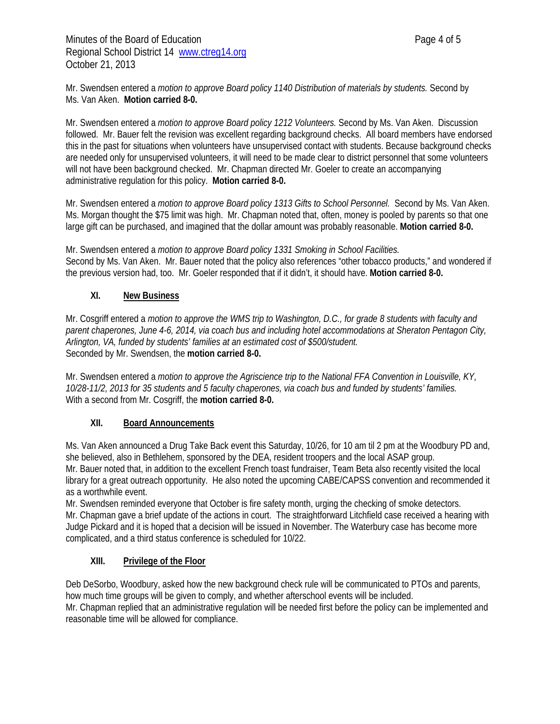Mr. Swendsen entered a *motion to approve Board policy 1140 Distribution of materials by students.* Second by Ms. Van Aken. **Motion carried 8-0.**

Mr. Swendsen entered a *motion to approve Board policy 1212 Volunteers.* Second by Ms. Van Aken. Discussion followed. Mr. Bauer felt the revision was excellent regarding background checks. All board members have endorsed this in the past for situations when volunteers have unsupervised contact with students. Because background checks are needed only for unsupervised volunteers, it will need to be made clear to district personnel that some volunteers will not have been background checked. Mr. Chapman directed Mr. Goeler to create an accompanying administrative regulation for this policy. **Motion carried 8-0.** 

Mr. Swendsen entered a *motion to approve Board policy 1313 Gifts to School Personnel.* Second by Ms. Van Aken. Ms. Morgan thought the \$75 limit was high. Mr. Chapman noted that, often, money is pooled by parents so that one large gift can be purchased, and imagined that the dollar amount was probably reasonable. **Motion carried 8-0.**

Mr. Swendsen entered a *motion to approve Board policy 1331 Smoking in School Facilities.* Second by Ms. Van Aken. Mr. Bauer noted that the policy also references "other tobacco products," and wondered if the previous version had, too. Mr. Goeler responded that if it didn't, it should have. **Motion carried 8-0.**

## **XI. New Business**

Mr. Cosgriff entered a *motion to approve the WMS trip to Washington, D.C., for grade 8 students with faculty and parent chaperones, June 4-6, 2014, via coach bus and including hotel accommodations at Sheraton Pentagon City, Arlington, VA, funded by students' families at an estimated cost of \$500/student.*  Seconded by Mr. Swendsen, the **motion carried 8-0.** 

Mr. Swendsen entered a *motion to approve the Agriscience trip to the National FFA Convention in Louisville, KY, 10/28-11/2, 2013 for 35 students and 5 faculty chaperones, via coach bus and funded by students' families.*  With a second from Mr. Cosgriff, the **motion carried 8-0.** 

### **XII. Board Announcements**

Ms. Van Aken announced a Drug Take Back event this Saturday, 10/26, for 10 am til 2 pm at the Woodbury PD and, she believed, also in Bethlehem, sponsored by the DEA, resident troopers and the local ASAP group. Mr. Bauer noted that, in addition to the excellent French toast fundraiser, Team Beta also recently visited the local library for a great outreach opportunity. He also noted the upcoming CABE/CAPSS convention and recommended it as a worthwhile event.

Mr. Swendsen reminded everyone that October is fire safety month, urging the checking of smoke detectors. Mr. Chapman gave a brief update of the actions in court. The straightforward Litchfield case received a hearing with Judge Pickard and it is hoped that a decision will be issued in November. The Waterbury case has become more complicated, and a third status conference is scheduled for 10/22.

### **XIII. Privilege of the Floor**

Deb DeSorbo, Woodbury, asked how the new background check rule will be communicated to PTOs and parents, how much time groups will be given to comply, and whether afterschool events will be included. Mr. Chapman replied that an administrative regulation will be needed first before the policy can be implemented and reasonable time will be allowed for compliance.